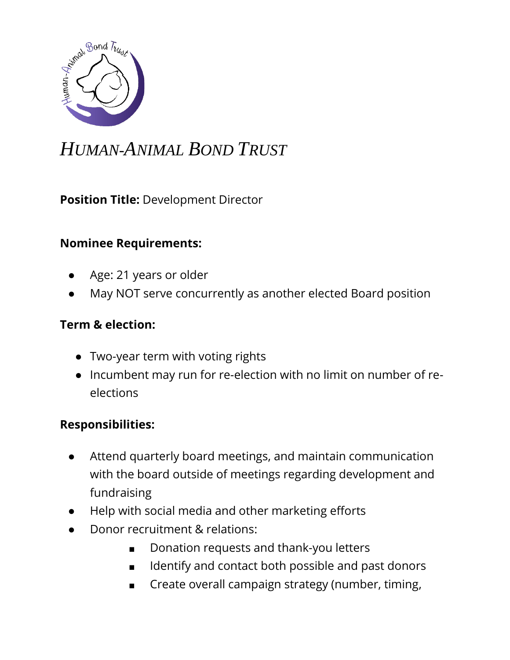

## *HUMAN-ANIMAL BOND TRUST*

**Position Title:** Development Director

## **Nominee Requirements:**

- Age: 21 years or older
- May NOT serve concurrently as another elected Board position

## **Term & election:**

- Two-year term with voting rights
- Incumbent may run for re-election with no limit on number of reelections

## **Responsibilities:**

- Attend quarterly board meetings, and maintain communication with the board outside of meetings regarding development and fundraising
- Help with social media and other marketing efforts
- Donor recruitment & relations:
	- Donation requests and thank-you letters
	- Identify and contact both possible and past donors
	- Create overall campaign strategy (number, timing,